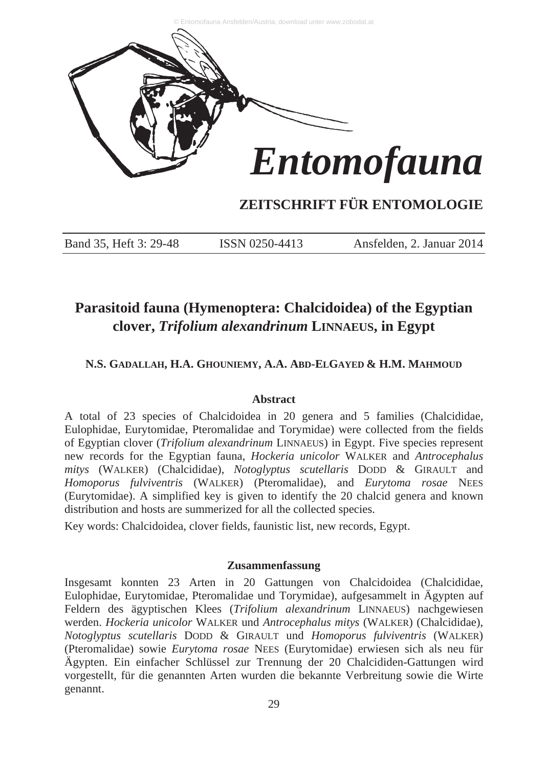

# **ZEITSCHRIFT FÜR ENTOMOLOGIE**

Band 35, Heft 3: 29-48 ISSN 0250-4413 Ansfelden, 2. Januar 2014

# **Parasitoid fauna (Hymenoptera: Chalcidoidea) of the Egyptian clover,** *Trifolium alexandrinum* **LINNAEUS, in Egypt**

# **N.S. GADALLAH, H.A. GHOUNIEMY, A.A. ABD-ELGAYED & H.M. MAHMOUD**

# **Abstract**

A total of 23 species of Chalcidoidea in 20 genera and 5 families (Chalcididae, Eulophidae, Eurytomidae, Pteromalidae and Torymidae) were collected from the fields of Egyptian clover (*Trifolium alexandrinum* LINNAEUS) in Egypt. Five species represent new records for the Egyptian fauna, *Hockeria unicolor* WALKER and *Antrocephalus mitys* (WALKER) (Chalcididae), *Notoglyptus scutellaris* DODD & GIRAULT and *Homoporus fulviventris* (WALKER) (Pteromalidae), and *Eurytoma rosae* NEES (Eurytomidae). A simplified key is given to identify the 20 chalcid genera and known distribution and hosts are summerized for all the collected species.

Key words: Chalcidoidea, clover fields, faunistic list, new records, Egypt.

# **Zusammenfassung**

Insgesamt konnten 23 Arten in 20 Gattungen von Chalcidoidea (Chalcididae, Eulophidae, Eurytomidae, Pteromalidae und Torymidae), aufgesammelt in Ägypten auf Feldern des ägyptischen Klees (*Trifolium alexandrinum* LINNAEUS) nachgewiesen werden. *Hockeria unicolor* WALKER und *Antrocephalus mitys* (WALKER) (Chalcididae), *Notoglyptus scutellaris* DODD & GIRAULT und *Homoporus fulviventris* (WALKER) (Pteromalidae) sowie *Eurytoma rosae* NEES (Eurytomidae) erwiesen sich als neu für Ägypten. Ein einfacher Schlüssel zur Trennung der 20 Chalcididen-Gattungen wird vorgestellt, für die genannten Arten wurden die bekannte Verbreitung sowie die Wirte genannt.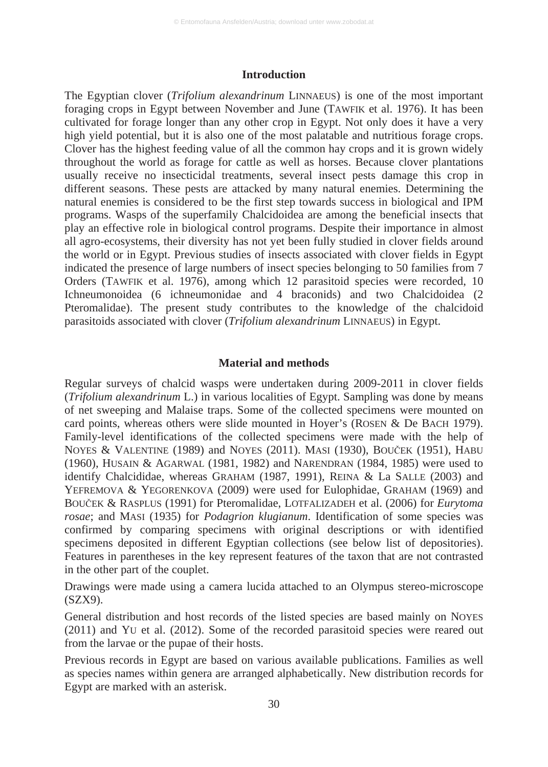#### **Introduction**

The Egyptian clover (*Trifolium alexandrinum* LINNAEUS) is one of the most important foraging crops in Egypt between November and June (TAWFIK et al. 1976). It has been cultivated for forage longer than any other crop in Egypt. Not only does it have a very high yield potential, but it is also one of the most palatable and nutritious forage crops. Clover has the highest feeding value of all the common hay crops and it is grown widely throughout the world as forage for cattle as well as horses. Because clover plantations usually receive no insecticidal treatments, several insect pests damage this crop in different seasons. These pests are attacked by many natural enemies. Determining the natural enemies is considered to be the first step towards success in biological and IPM programs. Wasps of the superfamily Chalcidoidea are among the beneficial insects that play an effective role in biological control programs. Despite their importance in almost all agro-ecosystems, their diversity has not yet been fully studied in clover fields around the world or in Egypt. Previous studies of insects associated with clover fields in Egypt indicated the presence of large numbers of insect species belonging to 50 families from 7 Orders (TAWFIK et al. 1976), among which 12 parasitoid species were recorded, 10 Ichneumonoidea (6 ichneumonidae and 4 braconids) and two Chalcidoidea (2 Pteromalidae). The present study contributes to the knowledge of the chalcidoid parasitoids associated with clover (*Trifolium alexandrinum* LINNAEUS) in Egypt.

# **Material and methods**

Regular surveys of chalcid wasps were undertaken during 2009-2011 in clover fields (*Trifolium alexandrinum* L.) in various localities of Egypt. Sampling was done by means of net sweeping and Malaise traps. Some of the collected specimens were mounted on card points, whereas others were slide mounted in Hoyer's (ROSEN & De BACH 1979). Family-level identifications of the collected specimens were made with the help of NOYES & VALENTINE (1989) and NOYES (2011). MASI (1930), BOUČEK (1951), HABU (1960), HUSAIN & AGARWAL (1981, 1982) and NARENDRAN (1984, 1985) were used to identify Chalcididae, whereas GRAHAM (1987, 1991), REINA & La SALLE (2003) and YEFREMOVA & YEGORENKOVA (2009) were used for Eulophidae, GRAHAM (1969) and BOUýEK & RASPLUS (1991) for Pteromalidae, LOTFALIZADEH et al. (2006) for *Eurytoma rosae*; and MASI (1935) for *Podagrion klugianum*. Identification of some species was confirmed by comparing specimens with original descriptions or with identified specimens deposited in different Egyptian collections (see below list of depositories). Features in parentheses in the key represent features of the taxon that are not contrasted in the other part of the couplet.

Drawings were made using a camera lucida attached to an Olympus stereo-microscope (SZX9).

General distribution and host records of the listed species are based mainly on NOYES (2011) and YU et al. (2012). Some of the recorded parasitoid species were reared out from the larvae or the pupae of their hosts.

Previous records in Egypt are based on various available publications. Families as well as species names within genera are arranged alphabetically. New distribution records for Egypt are marked with an asterisk.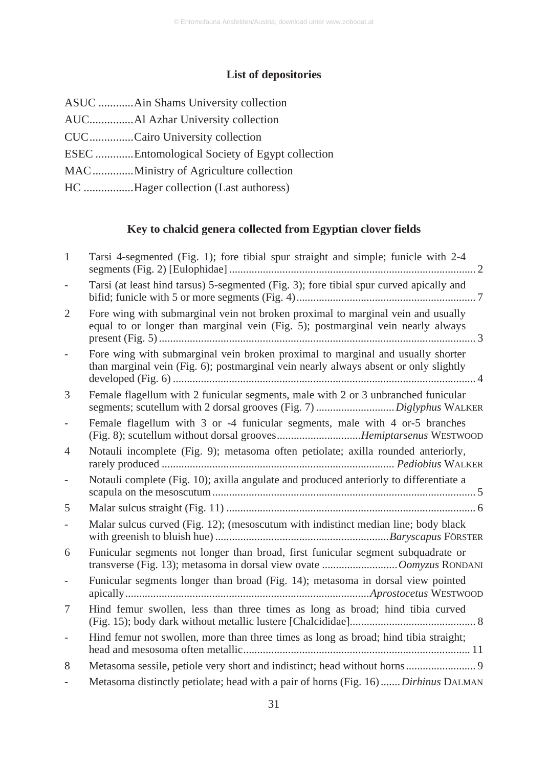# **List of depositories**

| CUCCairo University collection                 |
|------------------------------------------------|
| ESEC Entomological Society of Egypt collection |
| MACMinistry of Agriculture collection          |
| HC Hager collection (Last authoress)           |

# **Key to chalcid genera collected from Egyptian clover fields**

| Tarsi 4-segmented (Fig. 1); fore tibial spur straight and simple; funicle with 2-4                                                                                      |
|-------------------------------------------------------------------------------------------------------------------------------------------------------------------------|
| Tarsi (at least hind tarsus) 5-segmented (Fig. 3); fore tibial spur curved apically and                                                                                 |
| Fore wing with submarginal vein not broken proximal to marginal vein and usually<br>equal to or longer than marginal vein (Fig. 5); postmarginal vein nearly always     |
| Fore wing with submarginal vein broken proximal to marginal and usually shorter<br>than marginal vein (Fig. 6); postmarginal vein nearly always absent or only slightly |
| Female flagellum with 2 funicular segments, male with 2 or 3 unbranched funicular                                                                                       |
| Female flagellum with 3 or -4 funicular segments, male with 4 or-5 branches<br>(Fig. 8); scutellum without dorsal groovesHemiptarsenus WESTWOOD                         |
| Notauli incomplete (Fig. 9); metasoma often petiolate; axilla rounded anteriorly,                                                                                       |
| Notauli complete (Fig. 10); axilla angulate and produced anteriorly to differentiate a                                                                                  |
|                                                                                                                                                                         |
| Malar sulcus curved (Fig. 12); (mesoscutum with indistinct median line; body black                                                                                      |
| Funicular segments not longer than broad, first funicular segment subquadrate or                                                                                        |
| Funicular segments longer than broad (Fig. 14); metasoma in dorsal view pointed                                                                                         |
| Hind femur swollen, less than three times as long as broad; hind tibia curved                                                                                           |
| Hind femur not swollen, more than three times as long as broad; hind tibia straight;                                                                                    |
| Metasoma sessile, petiole very short and indistinct; head without horns 9                                                                                               |
| Metasoma distinctly petiolate; head with a pair of horns (Fig. 16)Dirhinus DALMAN                                                                                       |
|                                                                                                                                                                         |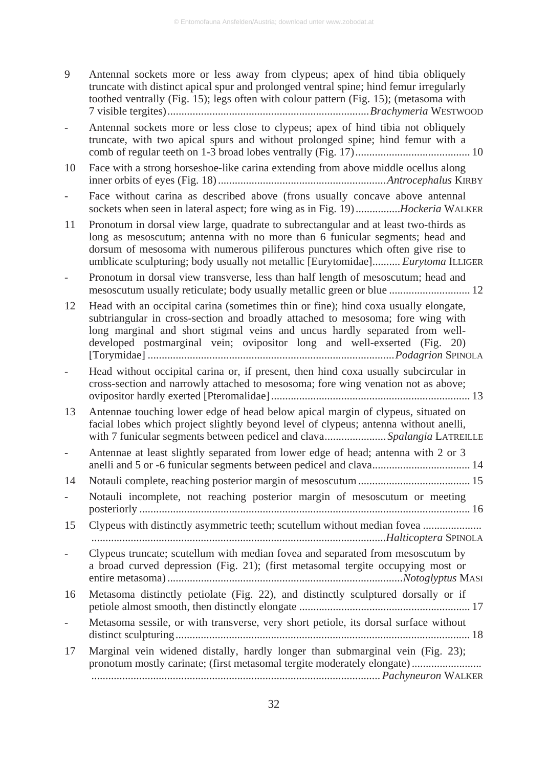- 9 Antennal sockets more or less away from clypeus; apex of hind tibia obliquely truncate with distinct apical spur and prolonged ventral spine; hind femur irregularly toothed ventrally (Fig. 15); legs often with colour pattern (Fig. 15); (metasoma with 7 visible tergites)........................................................................*Brachymeria* WESTWOOD
- Antennal sockets more or less close to clypeus; apex of hind tibia not obliquely truncate, with two apical spurs and without prolonged spine; hind femur with a comb of regular teeth on 1-3 broad lobes ventrally (Fig. 17)......................................... 10
- 10 Face with a strong horseshoe-like carina extending from above middle ocellus along inner orbits of eyes (Fig. 18) ............................................................*Antrocephalus* KIRBY
- Face without carina as described above (frons usually concave above antennal sockets when seen in lateral aspect; fore wing as in Fig. 19) ................*Hockeria* WALKER
- 11 Pronotum in dorsal view large, quadrate to subrectangular and at least two-thirds as long as mesoscutum; antenna with no more than 6 funicular segments; head and dorsum of mesosoma with numerous piliferous punctures which often give rise to umblicate sculpturing; body usually not metallic [Eurytomidae].......... *Eurytoma* ILLIGER
- Pronotum in dorsal view transverse, less than half length of mesoscutum; head and mesoscutum usually reticulate; body usually metallic green or blue ............................. 12
- 12 Head with an occipital carina (sometimes thin or fine); hind coxa usually elongate, subtriangular in cross-section and broadly attached to mesosoma; fore wing with long marginal and short stigmal veins and uncus hardly separated from welldeveloped postmarginal vein; ovipositor long and well-exserted (Fig. 20) [Torymidae] ........................................................................................*Podagrion* SPINOLA
- Head without occipital carina or, if present, then hind coxa usually subcircular in cross-section and narrowly attached to mesosoma; fore wing venation not as above; ovipositor hardly exerted [Pteromalidae] ....................................................................... 13
- 13 Antennae touching lower edge of head below apical margin of clypeus, situated on facial lobes which project slightly beyond level of clypeus; antenna without anelli, with 7 funicular segments between pedicel and clava...................... *Spalangia* LATREILLE

Antennae at least slightly separated from lower edge of head; antenna with 2 or 3 anelli and 5 or -6 funicular segments between pedicel and clava................................... 14

- 14 Notauli complete, reaching posterior margin of mesoscutum ........................................ 15
- Notauli incomplete, not reaching posterior margin of mesoscutum or meeting posteriorly ...................................................................................................................... 16
- 15 Clypeus with distinctly asymmetric teeth; scutellum without median fovea ..................... .........................................................................................................*Halticoptera* SPINOLA
- Clypeus truncate; scutellum with median fovea and separated from mesoscutum by a broad curved depression (Fig. 21); (first metasomal tergite occupying most or entire metasoma) ....................................................................................*Notoglyptus* MASI
- 16 Metasoma distinctly petiolate (Fig. 22), and distinctly sculptured dorsally or if petiole almost smooth, then distinctly elongate ............................................................. 17
- Metasoma sessile, or with transverse, very short petiole, its dorsal surface without distinct sculpturing......................................................................................................... 18
- 17 Marginal vein widened distally, hardly longer than submarginal vein (Fig. 23); pronotum mostly carinate; (first metasomal tergite moderately elongate) ......................... ....................................................................................................... *Pachyneuron* WALKER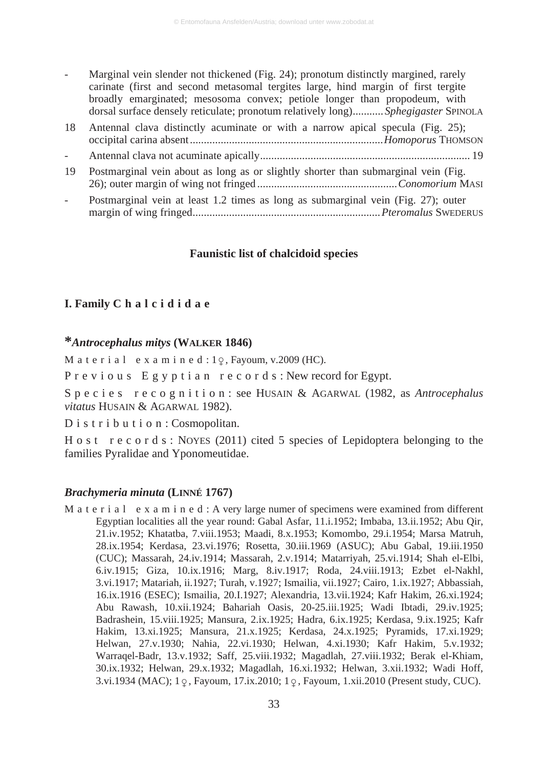- Marginal vein slender not thickened (Fig. 24); pronotum distinctly margined, rarely carinate (first and second metasomal tergites large, hind margin of first tergite broadly emarginated; mesosoma convex; petiole longer than propodeum, with dorsal surface densely reticulate; pronotum relatively long)........... *Sphegigaster* SPINOLA
- 18 Antennal clava distinctly acuminate or with a narrow apical specula (Fig. 25); occipital carina absent.....................................................................*Homoporus* THOMSON - Antennal clava not acuminate apically........................................................................... 19
- 19 Postmarginal vein about as long as or slightly shorter than submarginal vein (Fig. 26); outer margin of wing not fringed ..................................................*Conomorium* MASI
- Postmarginal vein at least 1.2 times as long as submarginal vein (Fig. 27); outer margin of wing fringed...................................................................*Pteromalus* SWEDERUS

#### **Faunistic list of chalcidoid species**

# **I. Family C h a l c i d i d a e**

# **\****Antrocephalus mitys* **(WALKER 1846)**

M a t e r i a  $1$  e x a m i n e d :  $1\degree$ , Fayoum, v.2009 (HC).

P r e v i o u s E g y p t i a n r e c o r d s : New record for Egypt.

S p e c i e s r e c o g n i t i o n : see HUSAIN & AGARWAL (1982, as *Antrocephalus vitatus* HUSAIN & AGARWAL 1982).

D i s t r i b u t i o n : Cosmopolitan.

H o s t r e c o r d s : NOYES (2011) cited 5 species of Lepidoptera belonging to the families Pyralidae and Yponomeutidae.

#### *Brachymeria minuta* **(LINNÉ 1767)**

M a t e r i a l e x a m i n e d : A very large numer of specimens were examined from different Egyptian localities all the year round: Gabal Asfar, 11.i.1952; Imbaba, 13.ii.1952; Abu Qir, 21.iv.1952; Khatatba, 7.viii.1953; Maadi, 8.x.1953; Komombo, 29.i.1954; Marsa Matruh, 28.ix.1954; Kerdasa, 23.vi.1976; Rosetta, 30.iii.1969 (ASUC); Abu Gabal, 19.iii.1950 (CUC); Massarah, 24.iv.1914; Massarah, 2.v.1914; Matarriyah, 25.vi.1914; Shah el-Elbi, 6.iv.1915; Giza, 10.ix.1916; Marg, 8.iv.1917; Roda, 24.viii.1913; Ezbet el-Nakhl, 3.vi.1917; Matariah, ii.1927; Turah, v.1927; Ismailia, vii.1927; Cairo, 1.ix.1927; Abbassiah, 16.ix.1916 (ESEC); Ismailia, 20.I.1927; Alexandria, 13.vii.1924; Kafr Hakim, 26.xi.1924; Abu Rawash, 10.xii.1924; Bahariah Oasis, 20-25.iii.1925; Wadi Ibtadi, 29.iv.1925; Badrashein, 15.viii.1925; Mansura, 2.ix.1925; Hadra, 6.ix.1925; Kerdasa, 9.ix.1925; Kafr Hakim, 13.xi.1925; Mansura, 21.x.1925; Kerdasa, 24.x.1925; Pyramids, 17.xi.1929; Helwan, 27.v.1930; Nahia, 22.vi.1930; Helwan, 4.xi.1930; Kafr Hakim, 5.v.1932; Warraqel-Badr, 13.v.1932; Saff, 25.viii.1932; Magadlah, 27.viii.1932; Berak el-Khiam, 30.ix.1932; Helwan, 29.x.1932; Magadlah, 16.xi.1932; Helwan, 3.xii.1932; Wadi Hoff, 3.vi.1934 (MAC); 1  $\varphi$ , Fayoum, 17.ix.2010; 1  $\varphi$ , Fayoum, 1.xii.2010 (Present study, CUC).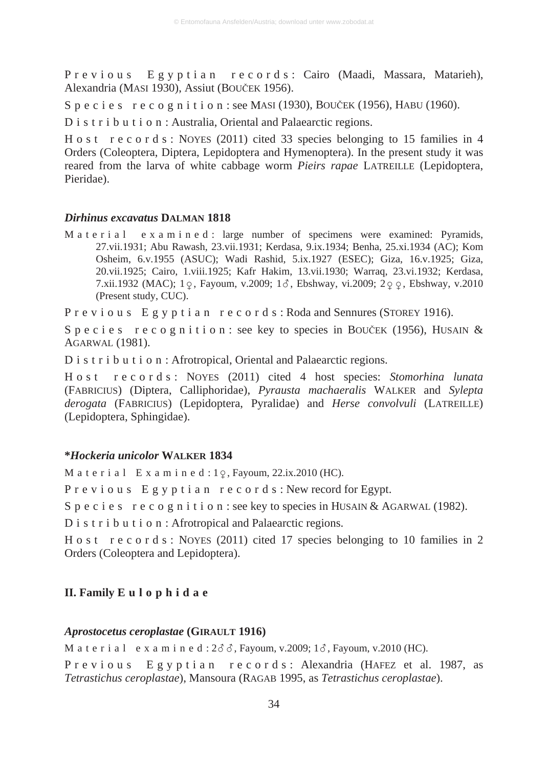P r e v i o u s E g y p t i a n r e c o r d s : Cairo (Maadi, Massara, Matarieh), Alexandria (MASI 1930), Assiut (BOUČEK 1956).

S p e c i e s r e c o g n i t i o n : see MASI (1930), BOUČEK (1956), HABU (1960).

D i s t r i b u t i o n : Australia, Oriental and Palaearctic regions.

H o s t r e c o r d s : NOYES (2011) cited 33 species belonging to 15 families in 4 Orders (Coleoptera, Diptera, Lepidoptera and Hymenoptera). In the present study it was reared from the larva of white cabbage worm *Pieirs rapae* LATREILLE (Lepidoptera, Pieridae).

#### *Dirhinus excavatus* **DALMAN 1818**

M a t e r i a l e x a m i n e d : large number of specimens were examined: Pyramids, 27.vii.1931; Abu Rawash, 23.vii.1931; Kerdasa, 9.ix.1934; Benha, 25.xi.1934 (AC); Kom Osheim, 6.v.1955 (ASUC); Wadi Rashid, 5.ix.1927 (ESEC); Giza, 16.v.1925; Giza, 20.vii.1925; Cairo, 1.viii.1925; Kafr Hakim, 13.vii.1930; Warraq, 23.vi.1932; Kerdasa, 7.xii.1932 (MAC); 1  $\varphi$ , Fayoum, v.2009; 1  $\delta$ , Ebshway, vi.2009; 2  $\varphi$   $\varphi$ , Ebshway, v.2010 (Present study, CUC).

P r e v i o u s E g y p t i a n r e c o r d s : Roda and Sennures (STOREY 1916).

S p e c i e s r e c o g n i t i o n : see key to species in BOUČEK (1956), HUSAIN & AGARWAL (1981).

D i s t r i b u t i o n : Afrotropical, Oriental and Palaearctic regions.

H o s t r e c o r d s : NOYES (2011) cited 4 host species: *Stomorhina lunata* (FABRICIUS) (Diptera, Calliphoridae), *Pyrausta machaeralis* WALKER and *Sylepta derogata* (FABRICIUS) (Lepidoptera, Pyralidae) and *Herse convolvuli* (LATREILLE) (Lepidoptera, Sphingidae).

# **\****Hockeria unicolor* **WALKER 1834**

M a t e r i a  $1 \cdot E$  x a m i n e d :  $1\varphi$ , Fayoum, 22.ix.2010 (HC).

P r e v i o u s E g y p t i a n r e c o r d s : New record for Egypt.

S p e c i e s r e c o g n i t i o n : see key to species in HUSAIN & AGARWAL (1982).

D i s t r i b u t i o n : Afrotropical and Palaearctic regions.

H o s t r e c o r d s : NOYES (2011) cited 17 species belonging to 10 families in 2 Orders (Coleoptera and Lepidoptera).

# **II. Family E u l o p h i d a e**

#### *Aprostocetus ceroplastae* **(GIRAULT 1916)**

M a t e r i a l e x a m i n e d :  $2\delta\delta$ , Fayoum, v.2009;  $1\delta$ , Fayoum, v.2010 (HC). P r e v i o u s E g y p t i a n r e c o r d s : Alexandria (HAFEZ et al. 1987, as *Tetrastichus ceroplastae*), Mansoura (RAGAB 1995, as *Tetrastichus ceroplastae*).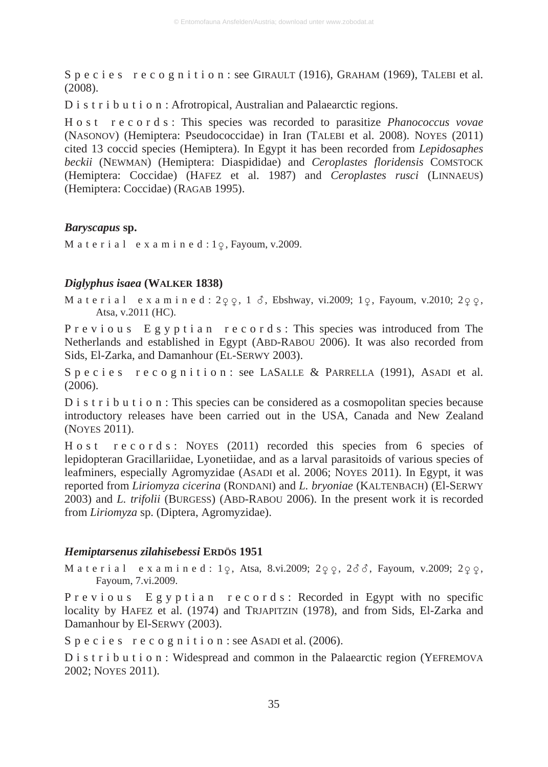S p e c i e s r e c o g n i t i o n : see GIRAULT (1916), GRAHAM (1969), TALEBI et al. (2008).

D i s t r i b u t i o n : Afrotropical, Australian and Palaearctic regions.

H o s t r e c o r d s : This species was recorded to parasitize *Phanococcus vovae* (NASONOV) (Hemiptera: Pseudococcidae) in Iran (TALEBI et al. 2008). NOYES (2011) cited 13 coccid species (Hemiptera). In Egypt it has been recorded from *Lepidosaphes beckii* (NEWMAN) (Hemiptera: Diaspididae) and *Ceroplastes floridensis* COMSTOCK (Hemiptera: Coccidae) (HAFEZ et al. 1987) and *Ceroplastes rusci* (LINNAEUS) (Hemiptera: Coccidae) (RAGAB 1995).

# *Baryscapus* **sp.**

M a t e r i a  $1$  e x a m i n e d :  $1\degree$ , Fayoum, v.2009.

#### *Diglyphus isaea* **(WALKER 1838)**

Material examined:  $2\varphi\varphi$ , 1  $\delta$ , Ebshway, vi.2009; 1 $\varphi$ , Fayoum, v.2010; 2 $\varphi\varphi$ . Atsa, v.2011 (HC).

P r e v i o u s E g y p t i a n r e c o r d s : This species was introduced from The Netherlands and established in Egypt (ABD-RABOU 2006). It was also recorded from Sids, El-Zarka, and Damanhour (EL-SERWY 2003).

Species recognition: see LASALLE & PARRELLA (1991), ASADI et al. (2006).

D i s t r i b u t i o n : This species can be considered as a cosmopolitan species because introductory releases have been carried out in the USA, Canada and New Zealand (NOYES 2011).

H o s t r e c o r d s : NOYES (2011) recorded this species from 6 species of lepidopteran Gracillariidae, Lyonetiidae, and as a larval parasitoids of various species of leafminers, especially Agromyzidae (ASADI et al. 2006; NOYES 2011). In Egypt, it was reported from *Liriomyza cicerina* (RONDANI) and *L. bryoniae* (KALTENBACH) (El-SERWY 2003) and *L. trifolii* (BURGESS) (ABD-RABOU 2006). In the present work it is recorded from *Liriomyza* sp. (Diptera, Agromyzidae).

# *Hemiptarsenus zilahisebessi* **ERDÖS 1951**

Material examined: 1 $\varphi$ , Atsa, 8.vi.2009; 2 $\varphi$ , 2 $\vec{\sigma}$   $\vec{\sigma}$ , Fayoum, v.2009; 2 $\varphi$ ,  $\varphi$ , Fayoum, 7.vi.2009.

P r e v i o u s E g y p t i a n r e c o r d s : Recorded in Egypt with no specific locality by HAFEZ et al. (1974) and TRJAPITZIN (1978), and from Sids, El-Zarka and Damanhour by El-SERWY (2003).

S p e c i e s r e c o g n i t i o n : see ASADI et al. (2006).

D i s t r i b u t i o n : Widespread and common in the Palaearctic region (YEFREMOVA 2002; NOYES 2011).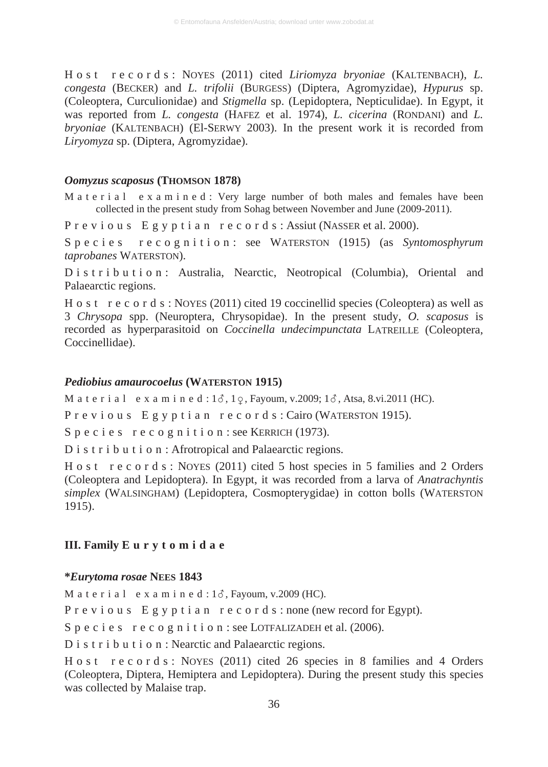H o s t r e c o r d s : NOYES (2011) cited *Liriomyza bryoniae* (KALTENBACH), *L. congesta* (BECKER) and *L. trifolii* (BURGESS) (Diptera, Agromyzidae), *Hypurus* sp. (Coleoptera, Curculionidae) and *Stigmella* sp. (Lepidoptera, Nepticulidae). In Egypt, it was reported from *L. congesta* (HAFEZ et al. 1974), *L. cicerina* (RONDANI) and *L. bryoniae* (KALTENBACH) (El-SERWY 2003). In the present work it is recorded from *Liryomyza* sp. (Diptera, Agromyzidae).

# *Oomyzus scaposus* **(THOMSON 1878)**

M a t e r i a l e x a m i n e d : Very large number of both males and females have been collected in the present study from Sohag between November and June (2009-2011).

P r e v i o u s E g y p t i a n r e c o r d s : Assiut (NASSER et al. 2000).

Species recognition: see WATERSTON (1915) (as *Syntomosphyrum taprobanes* WATERSTON).

D i s t r i b u t i o n : Australia, Nearctic, Neotropical (Columbia), Oriental and Palaearctic regions.

H o s t r e c o r d s : NOYES (2011) cited 19 coccinellid species (Coleoptera) as well as 3 *Chrysopa* spp. (Neuroptera, Chrysopidae). In the present study, *O. scaposus* is recorded as hyperparasitoid on *Coccinella undecimpunctata* LATREILLE (Coleoptera, Coccinellidae).

#### *Pediobius amaurocoelus* **(WATERSTON 1915)**

M a t e r i a  $1$  e x a m i n e d :  $1\delta$ ,  $1\delta$ , Fayoum, v.2009;  $1\delta$ , Atsa, 8.vi.2011 (HC).

P r e v i o u s E g y p t i a n r e c o r d s : Cairo (WATERSTON 1915).

S p e c i e s r e c o g n i t i o n : see KERRICH (1973).

D i s t r i b u t i o n : Afrotropical and Palaearctic regions.

H o s t r e c o r d s : NOYES (2011) cited 5 host species in 5 families and 2 Orders (Coleoptera and Lepidoptera). In Egypt, it was recorded from a larva of *Anatrachyntis simplex* (WALSINGHAM) (Lepidoptera, Cosmopterygidae) in cotton bolls (WATERSTON 1915).

# **III. Family E u r y t o m i d a e**

# **\****Eurytoma rosae* **NEES 1843**

M a t e r i a l e x a m i n e d :  $1\delta$ , Fayoum, v.2009 (HC).

P r e v i o u s E g y p t i a n r e c o r d s : none (new record for Egypt).

S p e c i e s r e c o g n i t i o n : see LOTFALIZADEH et al. (2006).

D i s t r i b u t i o n : Nearctic and Palaearctic regions.

H o s t r e c o r d s : NOYES (2011) cited 26 species in 8 families and 4 Orders (Coleoptera, Diptera, Hemiptera and Lepidoptera). During the present study this species was collected by Malaise trap.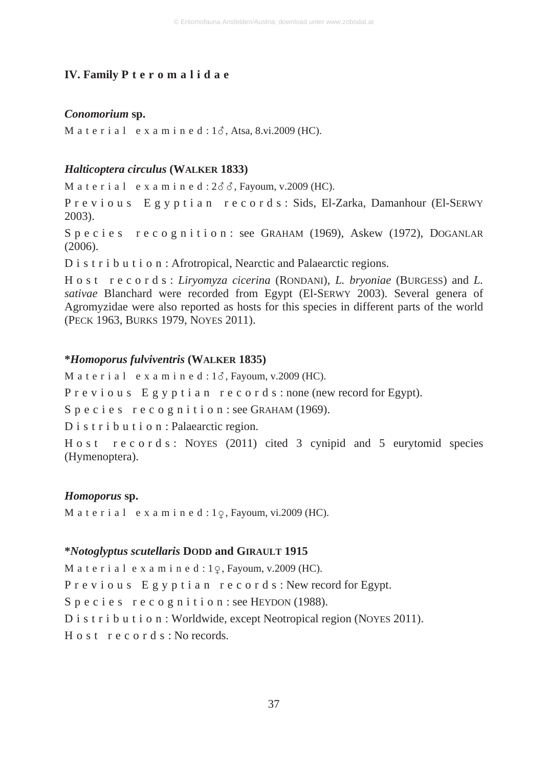# **IV. Family P t e r o m a l i d a e**

#### *Conomorium* **sp.**

M a t e r i a l e x a m i n e d :  $1\delta$ , Atsa, 8.vi.2009 (HC).

# *Halticoptera circulus* **(WALKER 1833)**

M a t e r i a l e x a m i n e d :  $2\delta\delta$ , Fayoum, v.2009 (HC).

P r e v i o u s E g y p t i a n r e c o r d s : Sids, El-Zarka, Damanhour (El-SERWY 2003).

S p e c i e s r e c o g n i t i o n : see GRAHAM (1969), Askew (1972), DOGANLAR (2006).

D i s t r i b u t i o n : Afrotropical, Nearctic and Palaearctic regions.

H o s t r e c o r d s : *Liryomyza cicerina* (RONDANI), *L. bryoniae* (BURGESS) and *L. sativae* Blanchard were recorded from Egypt (El-SERWY 2003). Several genera of Agromyzidae were also reported as hosts for this species in different parts of the world (PECK 1963, BURKS 1979, NOYES 2011).

# **\****Homoporus fulviventris* **(WALKER 1835)**

M a t e r i a l e x a m i n e d :  $1\delta$ , Fayoum, v.2009 (HC).

P r e v i o u s E g y p t i a n r e c o r d s : none (new record for Egypt).

S p e c i e s r e c o g n i t i o n : see GRAHAM (1969).

D i s t r i b u t i o n : Palaearctic region.

H o s t r e c o r d s : NOYES (2011) cited 3 cynipid and 5 eurytomid species (Hymenoptera).

## *Homoporus* **sp.**

M a t e r i a  $1$  e x a m i n e d :  $1\degree$ , Fayoum, vi.2009 (HC).

#### **\****Notoglyptus scutellaris* **DODD and GIRAULT 1915**

M a t e r i a l e x a m i n e d :  $1\degree$ , Fayoum, v.2009 (HC). P r e v i o u s E g y p t i a n r e c o r d s : New record for Egypt. S p e c i e s r e c o g n i t i o n : see HEYDON (1988). D i s t r i b u t i o n : Worldwide, except Neotropical region (NOYES 2011). H o s t r e c o r d s : No records.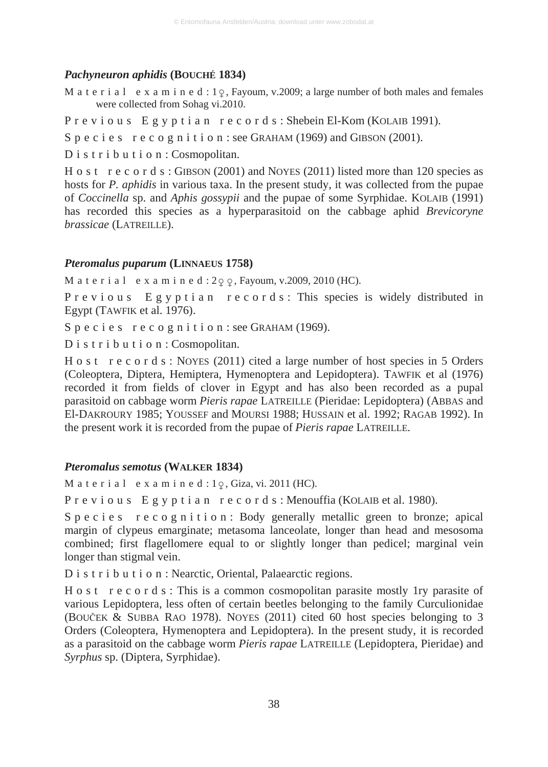# *Pachyneuron aphidis* **(BOUCHÉ 1834)**

M a t e r i a l e x a m i n e d :  $1\varphi$ , Fayoum, v.2009; a large number of both males and females were collected from Sohag vi.2010.

P r e v i o u s E g y p t i a n r e c o r d s : Shebein El-Kom (KOLAIB 1991).

S p e c i e s r e c o g n i t i o n : see GRAHAM (1969) and GIBSON (2001).

D i s t r i b u t i o n : Cosmopolitan.

H o s t r e c o r d s : GIBSON (2001) and NOYES (2011) listed more than 120 species as hosts for *P. aphidis* in various taxa. In the present study, it was collected from the pupae of *Coccinella* sp. and *Aphis gossypii* and the pupae of some Syrphidae. KOLAIB (1991) has recorded this species as a hyperparasitoid on the cabbage aphid *Brevicoryne brassicae* (LATREILLE).

# *Pteromalus puparum* **(LINNAEUS 1758)**

M a t e r i a l e x a m i n e d :  $2\varphi \varphi$ , Fayoum, v.2009, 2010 (HC).

P r e v i o u s E g y p t i a n r e c o r d s : This species is widely distributed in Egypt (TAWFIK et al. 1976).

S p e c i e s r e c o g n i t i o n : see GRAHAM (1969).

D i s t r i b u t i o n : Cosmopolitan.

H o s t r e c o r d s : NOYES (2011) cited a large number of host species in 5 Orders (Coleoptera, Diptera, Hemiptera, Hymenoptera and Lepidoptera). TAWFIK et al (1976) recorded it from fields of clover in Egypt and has also been recorded as a pupal parasitoid on cabbage worm *Pieris rapae* LATREILLE (Pieridae: Lepidoptera) (ABBAS and El-DAKROURY 1985; YOUSSEF and MOURSI 1988; HUSSAIN et al. 1992; RAGAB 1992). In the present work it is recorded from the pupae of *Pieris rapae* LATREILLE.

# *Pteromalus semotus* **(WALKER 1834)**

M a t e r i a  $1$  e x a m i n e d :  $1\degree$ , Giza, vi. 2011 (HC).

P r e v i o u s E g y p t i a n r e c o r d s : Menouffia (KOLAIB et al. 1980).

S p e c i e s r e c o g n i t i o n : Body generally metallic green to bronze; apical margin of clypeus emarginate; metasoma lanceolate, longer than head and mesosoma combined; first flagellomere equal to or slightly longer than pedicel; marginal vein longer than stigmal vein.

D i s t r i b u t i o n : Nearctic, Oriental, Palaearctic regions.

H o s t r e c o r d s : This is a common cosmopolitan parasite mostly 1ry parasite of various Lepidoptera, less often of certain beetles belonging to the family Curculionidae (BOUýEK & SUBBA RAO 1978). NOYES (2011) cited 60 host species belonging to 3 Orders (Coleoptera, Hymenoptera and Lepidoptera). In the present study, it is recorded as a parasitoid on the cabbage worm *Pieris rapae* LATREILLE (Lepidoptera, Pieridae) and *Syrphus* sp. (Diptera, Syrphidae).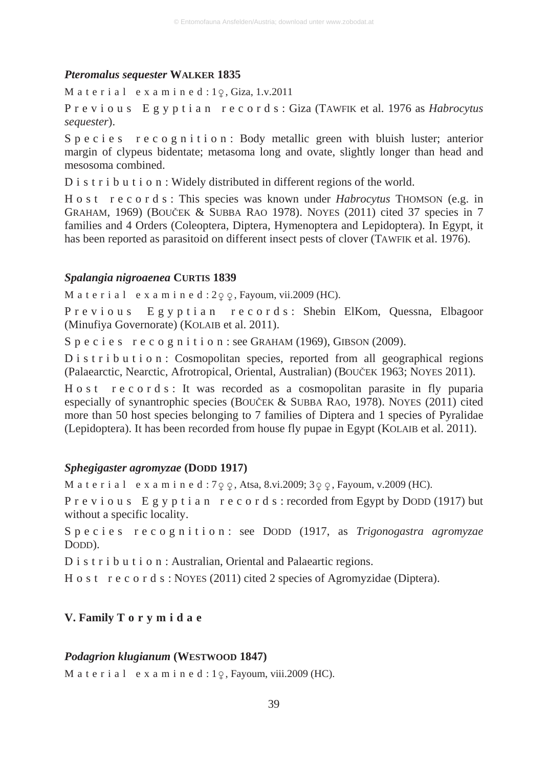#### *Pteromalus sequester* **WALKER 1835**

Material examined: $1\varphi$ , Giza, 1.v.2011

P r e v i o u s E g y p t i a n r e c o r d s : Giza (TAWFIK et al. 1976 as *Habrocytus sequester*).

S p e c i e s r e c o g n i t i o n : Body metallic green with bluish luster; anterior margin of clypeus bidentate; metasoma long and ovate, slightly longer than head and mesosoma combined.

D i s t r i b u t i o n : Widely distributed in different regions of the world.

H o s t r e c o r d s : This species was known under *Habrocytus* THOMSON (e.g. in GRAHAM, 1969) (BOUýEK & SUBBA RAO 1978). NOYES (2011) cited 37 species in 7 families and 4 Orders (Coleoptera, Diptera, Hymenoptera and Lepidoptera). In Egypt, it has been reported as parasitoid on different insect pests of clover (TAWFIK et al. 1976).

# *Spalangia nigroaenea* **CURTIS 1839**

M a t e r i a l  $\,$  e x a m i n e d : 2 $\varphi$   $\varphi$ , Fayoum, vii.2009 (HC).

P r e v i o u s E g y p t i a n r e c o r d s : Shebin ElKom, Quessna, Elbagoor (Minufiya Governorate) (KOLAIB et al. 2011).

S p e c i e s r e c o g n i t i o n : see GRAHAM (1969), GIBSON (2009).

D i s t r i b u t i o n : Cosmopolitan species, reported from all geographical regions (Palaearctic, Nearctic, Afrotropical, Oriental, Australian) (BOUýEK 1963; NOYES 2011).

H o s t r e c o r d s : It was recorded as a cosmopolitan parasite in fly puparia especially of synantrophic species (BOUČEK  $&$  SUBBA RAO, 1978). NOYES (2011) cited more than 50 host species belonging to 7 families of Diptera and 1 species of Pyralidae (Lepidoptera). It has been recorded from house fly pupae in Egypt (KOLAIB et al. 2011).

# *Sphegigaster agromyzae* **(DODD 1917)**

M a t e r i a l  $\cdot$  e x a m i n e d : 7  $\varphi$   $\varphi$ , Atsa, 8.vi.2009; 3  $\varphi$   $\varphi$ , Fayoum, v.2009 (HC).

P r e v i o u s E g y p t i a n r e c o r d s : recorded from Egypt by DODD (1917) but without a specific locality.

Species recognition: see DODD (1917, as *Trigonogastra agromyzae* DODD).

D i s t r i b u t i o n : Australian, Oriental and Palaeartic regions.

H o s t r e c o r d s : NOYES (2011) cited 2 species of Agromyzidae (Diptera).

# **V. Family T o r y m i d a e**

#### *Podagrion klugianum* **(WESTWOOD 1847)**

M a t e r i a  $1$  e x a m i n e d :  $1\degree$ , Fayoum, viii.2009 (HC).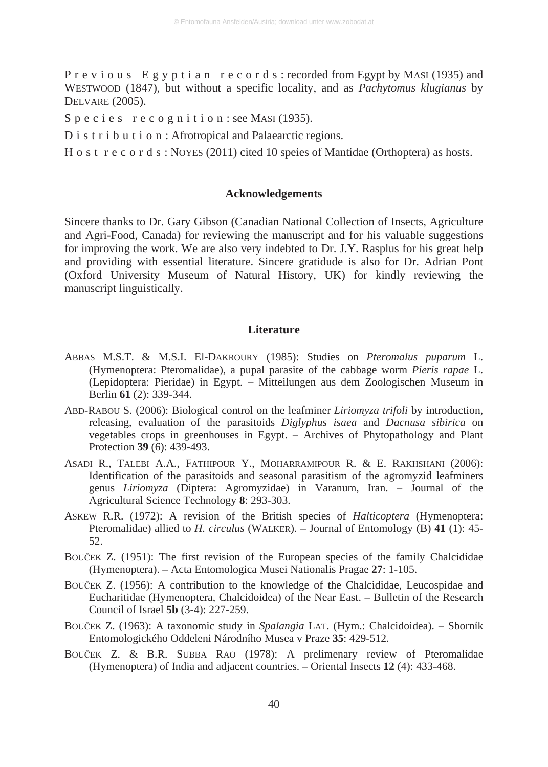P r e v i o u s E g y p t i a n r e c o r d s : recorded from Egypt by MASI (1935) and WESTWOOD (1847), but without a specific locality, and as *Pachytomus klugianus* by DELVARE (2005).

S p e c i e s r e c o g n i t i o n : see MASI (1935).

D i s t r i b u t i o n : Afrotropical and Palaearctic regions.

H o s t r e c o r d s : NOYES (2011) cited 10 speies of Mantidae (Orthoptera) as hosts.

#### **Acknowledgements**

Sincere thanks to Dr. Gary Gibson (Canadian National Collection of Insects, Agriculture and Agri-Food, Canada) for reviewing the manuscript and for his valuable suggestions for improving the work. We are also very indebted to Dr. J.Y. Rasplus for his great help and providing with essential literature. Sincere gratidude is also for Dr. Adrian Pont (Oxford University Museum of Natural History, UK) for kindly reviewing the manuscript linguistically.

# **Literature**

- ABBAS M.S.T. & M.S.I. El-DAKROURY (1985): Studies on *Pteromalus puparum* L. (Hymenoptera: Pteromalidae), a pupal parasite of the cabbage worm *Pieris rapae* L. (Lepidoptera: Pieridae) in Egypt. – Mitteilungen aus dem Zoologischen Museum in Berlin **61** (2): 339-344.
- ABD-RABOU S. (2006): Biological control on the leafminer *Liriomyza trifoli* by introduction, releasing, evaluation of the parasitoids *Diglyphus isaea* and *Dacnusa sibirica* on vegetables crops in greenhouses in Egypt. – Archives of Phytopathology and Plant Protection **39** (6): 439-493.
- ASADI R., TALEBI A.A., FATHIPOUR Y., MOHARRAMIPOUR R. & E. RAKHSHANI (2006): Identification of the parasitoids and seasonal parasitism of the agromyzid leafminers genus *Liriomyza* (Diptera: Agromyzidae) in Varanum, Iran. – Journal of the Agricultural Science Technology **8**: 293-303.
- ASKEW R.R. (1972): A revision of the British species of *Halticoptera* (Hymenoptera: Pteromalidae) allied to *H. circulus* (WALKER). – Journal of Entomology (B) **41** (1): 45- 52.
- BOUČEK Z. (1951): The first revision of the European species of the family Chalcididae (Hymenoptera). – Acta Entomologica Musei Nationalis Pragae **27**: 1-105.
- BOUČEK Z. (1956): A contribution to the knowledge of the Chalcididae, Leucospidae and Eucharitidae (Hymenoptera, Chalcidoidea) of the Near East. – Bulletin of the Research Council of Israel **5b** (3-4): 227-259.
- BOUýEK Z. (1963): A taxonomic study in *Spalangia* LAT. (Hym.: Chalcidoidea). Sborník Entomologického Oddeleni Národního Musea v Praze **35**: 429-512.
- BOUýEK Z. & B.R. SUBBA RAO (1978): A prelimenary review of Pteromalidae (Hymenoptera) of India and adjacent countries. – Oriental Insects **12** (4): 433-468.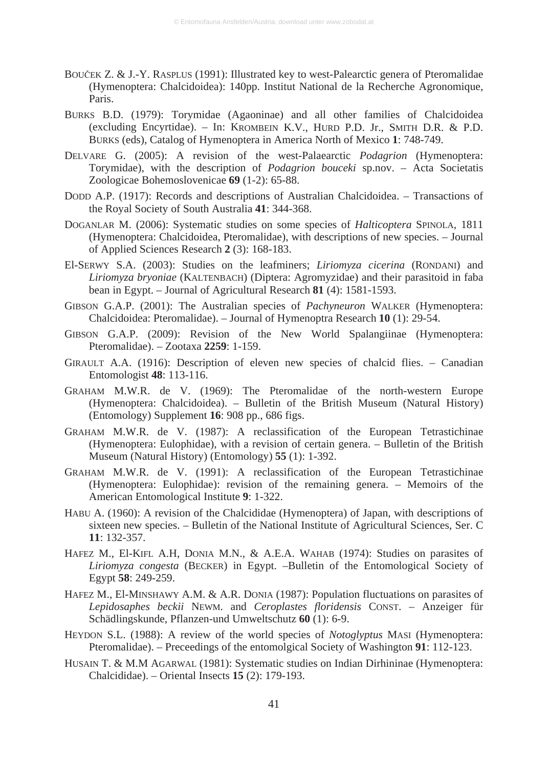- BOUČEK Z. & J.-Y. RASPLUS (1991): Illustrated key to west-Palearctic genera of Pteromalidae (Hymenoptera: Chalcidoidea): 140pp. Institut National de la Recherche Agronomique, Paris.
- BURKS B.D. (1979): Torymidae (Agaoninae) and all other families of Chalcidoidea (excluding Encyrtidae). – In: KROMBEIN K.V., HURD P.D. Jr., SMITH D.R. & P.D. BURKS (eds), Catalog of Hymenoptera in America North of Mexico **1**: 748-749.
- DELVARE G. (2005): A revision of the west-Palaearctic *Podagrion* (Hymenoptera: Torymidae), with the description of *Podagrion bouceki* sp.nov. – Acta Societatis Zoologicae Bohemoslovenicae **69** (1-2): 65-88.
- DODD A.P. (1917): Records and descriptions of Australian Chalcidoidea. Transactions of the Royal Society of South Australia **41**: 344-368.
- DOGANLAR M. (2006): Systematic studies on some species of *Halticoptera* SPINOLA, 1811 (Hymenoptera: Chalcidoidea, Pteromalidae), with descriptions of new species. – Journal of Applied Sciences Research **2** (3): 168-183.
- El-SERWY S.A. (2003): Studies on the leafminers; *Liriomyza cicerina* (RONDANI) and *Liriomyza bryoniae* (KALTENBACH) (Diptera: Agromyzidae) and their parasitoid in faba bean in Egypt. – Journal of Agricultural Research **81** (4): 1581-1593.
- GIBSON G.A.P. (2001): The Australian species of *Pachyneuron* WALKER (Hymenoptera: Chalcidoidea: Pteromalidae). – Journal of Hymenoptra Research **10** (1): 29-54.
- GIBSON G.A.P. (2009): Revision of the New World Spalangiinae (Hymenoptera: Pteromalidae). – Zootaxa **2259**: 1-159.
- GIRAULT A.A. (1916): Description of eleven new species of chalcid flies. Canadian Entomologist **48**: 113-116.
- GRAHAM M.W.R. de V. (1969): The Pteromalidae of the north-western Europe (Hymenoptera: Chalcidoidea). – Bulletin of the British Museum (Natural History) (Entomology) Supplement **16**: 908 pp., 686 figs.
- GRAHAM M.W.R. de V. (1987): A reclassification of the European Tetrastichinae (Hymenoptera: Eulophidae), with a revision of certain genera. – Bulletin of the British Museum (Natural History) (Entomology) **55** (1): 1-392.
- GRAHAM M.W.R. de V. (1991): A reclassification of the European Tetrastichinae (Hymenoptera: Eulophidae): revision of the remaining genera. – Memoirs of the American Entomological Institute **9**: 1-322.
- HABU A. (1960): A revision of the Chalcididae (Hymenoptera) of Japan, with descriptions of sixteen new species. – Bulletin of the National Institute of Agricultural Sciences, Ser. C **11**: 132-357.
- HAFEZ M., El-KIFL A.H, DONIA M.N., & A.E.A. WAHAB (1974): Studies on parasites of *Liriomyza congesta* (BECKER) in Egypt. –Bulletin of the Entomological Society of Egypt **58**: 249-259.
- HAFEZ M., El-MINSHAWY A.M. & A.R. DONIA (1987): Population fluctuations on parasites of *Lepidosaphes beckii* NEWM. and *Ceroplastes floridensis* CONST. – Anzeiger für Schädlingskunde, Pflanzen-und Umweltschutz **60** (1): 6-9.
- HEYDON S.L. (1988): A review of the world species of *Notoglyptus* MASI (Hymenoptera: Pteromalidae). – Preceedings of the entomolgical Society of Washington **91**: 112-123.
- HUSAIN T. & M.M AGARWAL (1981): Systematic studies on Indian Dirhininae (Hymenoptera: Chalcididae). – Oriental Insects **15** (2): 179-193.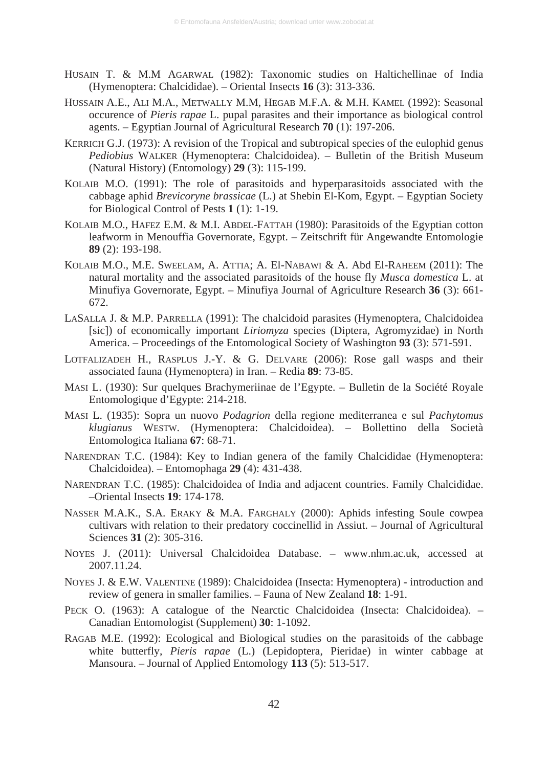- HUSAIN T. & M.M AGARWAL (1982): Taxonomic studies on Haltichellinae of India (Hymenoptera: Chalcididae). – Oriental Insects **16** (3): 313-336.
- HUSSAIN A.E., ALI M.A., METWALLY M.M, HEGAB M.F.A. & M.H. KAMEL (1992): Seasonal occurence of *Pieris rapae* L. pupal parasites and their importance as biological control agents. – Egyptian Journal of Agricultural Research **70** (1): 197-206.
- KERRICH G.J. (1973): A revision of the Tropical and subtropical species of the eulophid genus *Pediobius* WALKER (Hymenoptera: Chalcidoidea). – Bulletin of the British Museum (Natural History) (Entomology) **29** (3): 115-199.
- KOLAIB M.O. (1991): The role of parasitoids and hyperparasitoids associated with the cabbage aphid *Brevicoryne brassicae* (L.) at Shebin El-Kom, Egypt. – Egyptian Society for Biological Control of Pests **1** (1): 1-19.
- KOLAIB M.O., HAFEZ E.M. & M.I. ABDEL-FATTAH (1980): Parasitoids of the Egyptian cotton leafworm in Menouffia Governorate, Egypt. – Zeitschrift für Angewandte Entomologie **89** (2): 193-198.
- KOLAIB M.O., M.E. SWEELAM, A. ATTIA; A. El-NABAWI & A. Abd El-RAHEEM (2011): The natural mortality and the associated parasitoids of the house fly *Musca domestica* L. at Minufiya Governorate, Egypt. – Minufiya Journal of Agriculture Research **36** (3): 661- 672.
- LASALLA J. & M.P. PARRELLA (1991): The chalcidoid parasites (Hymenoptera, Chalcidoidea [sic]) of economically important *Liriomyza* species (Diptera, Agromyzidae) in North America. – Proceedings of the Entomological Society of Washington **93** (3): 571-591.
- LOTFALIZADEH H., RASPLUS J.-Y. & G. DELVARE (2006): Rose gall wasps and their associated fauna (Hymenoptera) in Iran. – Redia **89**: 73-85.
- MASI L. (1930): Sur quelques Brachymeriinae de l'Egypte. Bulletin de la Société Royale Entomologique d'Egypte: 214-218.
- MASI L. (1935): Sopra un nuovo *Podagrion* della regione mediterranea e sul *Pachytomus klugianus* WESTW. (Hymenoptera: Chalcidoidea). – Bollettino della Società Entomologica Italiana **67**: 68-71.
- NARENDRAN T.C. (1984): Key to Indian genera of the family Chalcididae (Hymenoptera: Chalcidoidea). – Entomophaga **29** (4): 431-438.
- NARENDRAN T.C. (1985): Chalcidoidea of India and adjacent countries. Family Chalcididae. –Oriental Insects **19**: 174-178.
- NASSER M.A.K., S.A. ERAKY & M.A. FARGHALY (2000): Aphids infesting Soule cowpea cultivars with relation to their predatory coccinellid in Assiut. – Journal of Agricultural Sciences **31** (2): 305-316.
- NOYES J. (2011): Universal Chalcidoidea Database. www.nhm.ac.uk, accessed at 2007.11.24.
- NOYES J. & E.W. VALENTINE (1989): Chalcidoidea (Insecta: Hymenoptera) introduction and review of genera in smaller families. – Fauna of New Zealand **18**: 1-91.
- PECK O. (1963): A catalogue of the Nearctic Chalcidoidea (Insecta: Chalcidoidea). Canadian Entomologist (Supplement) **30**: 1-1092.
- RAGAB M.E. (1992): Ecological and Biological studies on the parasitoids of the cabbage white butterfly, *Pieris rapae* (L.) (Lepidoptera, Pieridae) in winter cabbage at Mansoura. – Journal of Applied Entomology **113** (5): 513-517.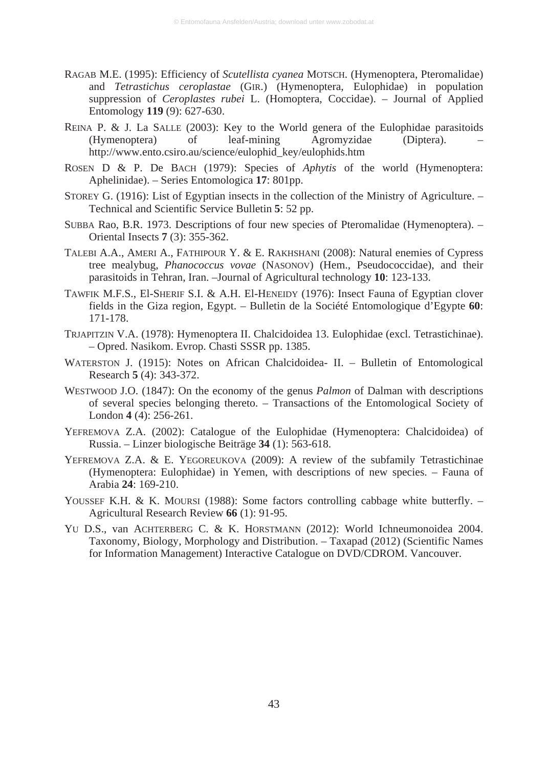- RAGAB M.E. (1995): Efficiency of *Scutellista cyanea* MOTSCH. (Hymenoptera, Pteromalidae) and *Tetrastichus ceroplastae* (GIR.) (Hymenoptera, Eulophidae) in population suppression of *Ceroplastes rubei* L. (Homoptera, Coccidae). – Journal of Applied Entomology **119** (9): 627-630.
- REINA P. & J. La SALLE (2003): Key to the World genera of the Eulophidae parasitoids<br>(Hymenoptera) of leaf-mining Agromyzidae (Diptera). (Hymenoptera) of leaf-mining Agromyzidae (Diptera). – http://www.ento.csiro.au/science/eulophid\_key/eulophids.htm
- ROSEN D & P. De BACH (1979): Species of *Aphytis* of the world (Hymenoptera: Aphelinidae). – Series Entomologica **17**: 801pp.
- STOREY G. (1916): List of Egyptian insects in the collection of the Ministry of Agriculture. Technical and Scientific Service Bulletin **5**: 52 pp.
- SUBBA Rao, B.R. 1973. Descriptions of four new species of Pteromalidae (Hymenoptera). Oriental Insects **7** (3): 355-362.
- TALEBI A.A., AMERI A., FATHIPOUR Y. & E. RAKHSHANI (2008): Natural enemies of Cypress tree mealybug, *Phanococcus vovae* (NASONOV) (Hem., Pseudococcidae), and their parasitoids in Tehran, Iran. –Journal of Agricultural technology **10**: 123-133.
- TAWFIK M.F.S., El-SHERIF S.I. & A.H. El-HENEIDY (1976): Insect Fauna of Egyptian clover fields in the Giza region, Egypt. – Bulletin de la Société Entomologique d'Egypte **60**: 171-178.
- TRJAPITZIN V.A. (1978): Hymenoptera II. Chalcidoidea 13. Eulophidae (excl. Tetrastichinae). – Opred. Nasikom. Evrop. Chasti SSSR pp. 1385.
- WATERSTON J. (1915): Notes on African Chalcidoidea- II. Bulletin of Entomological Research **5** (4): 343-372.
- WESTWOOD J.O. (1847): On the economy of the genus *Palmon* of Dalman with descriptions of several species belonging thereto. – Transactions of the Entomological Society of London **4** (4): 256-261.
- YEFREMOVA Z.A. (2002): Catalogue of the Eulophidae (Hymenoptera: Chalcidoidea) of Russia. – Linzer biologische Beiträge **34** (1): 563-618.
- YEFREMOVA Z.A. & E. YEGOREUKOVA (2009): A review of the subfamily Tetrastichinae (Hymenoptera: Eulophidae) in Yemen, with descriptions of new species. – Fauna of Arabia **24**: 169-210.
- YOUSSEF K.H. & K. MOURSI (1988): Some factors controlling cabbage white butterfly. Agricultural Research Review **66** (1): 91-95.
- YU D.S., van ACHTERBERG C. & K. HORSTMANN (2012): World Ichneumonoidea 2004. Taxonomy, Biology, Morphology and Distribution. – Taxapad (2012) (Scientific Names for Information Management) Interactive Catalogue on DVD/CDROM. Vancouver.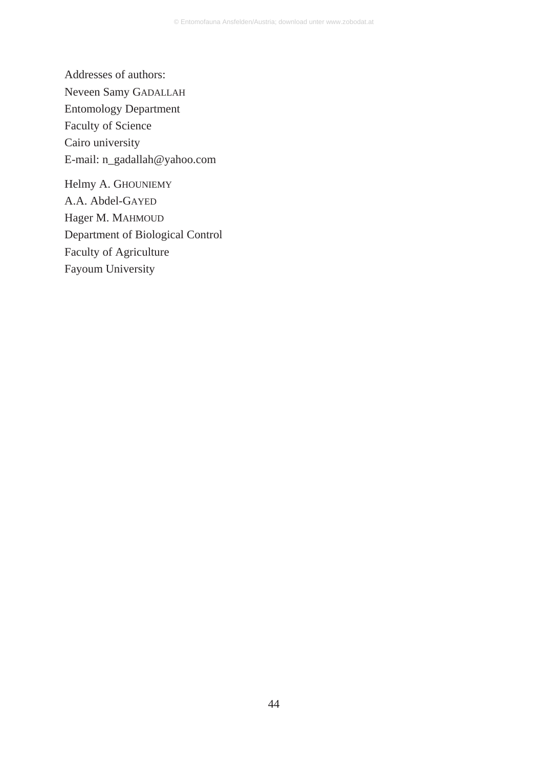Addresses of authors: Neveen Samy GADALLAH Entomology Department Faculty of Science Cairo university E-mail: n\_gadallah@yahoo.com

Helmy A. GHOUNIEMY A.A. Abdel-GAYED Hager M. MAHMOUD Department of Biological Control Faculty of Agriculture Fayoum University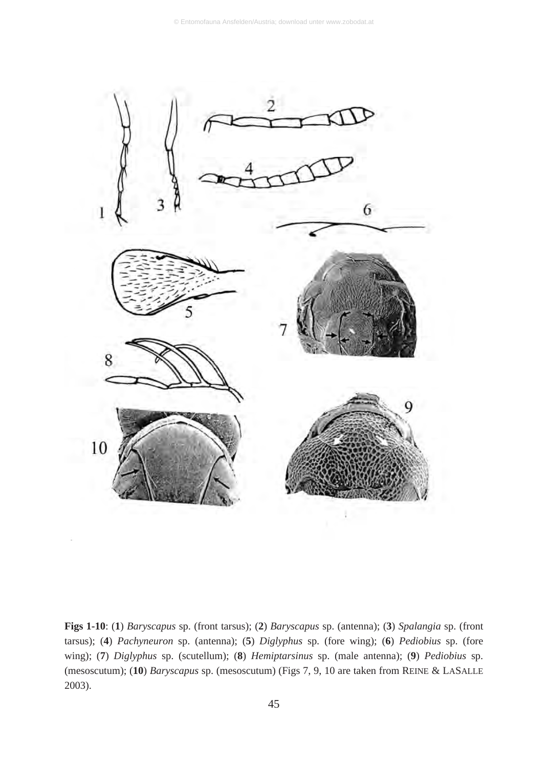

**Figs 1-10**: (**1**) *Baryscapus* sp. (front tarsus); (**2**) *Baryscapus* sp. (antenna); (**3**) *Spalangia* sp. (front tarsus); (**4**) *Pachyneuron* sp. (antenna); (**5**) *Diglyphus* sp. (fore wing); (**6**) *Pediobius* sp. (fore wing); (**7**) *Diglyphus* sp. (scutellum); (**8**) *Hemiptarsinus* sp. (male antenna); (**9**) *Pediobius* sp. (mesoscutum); (**10**) *Baryscapus* sp. (mesoscutum) (Figs 7, 9, 10 are taken from REINE & LASALLE 2003).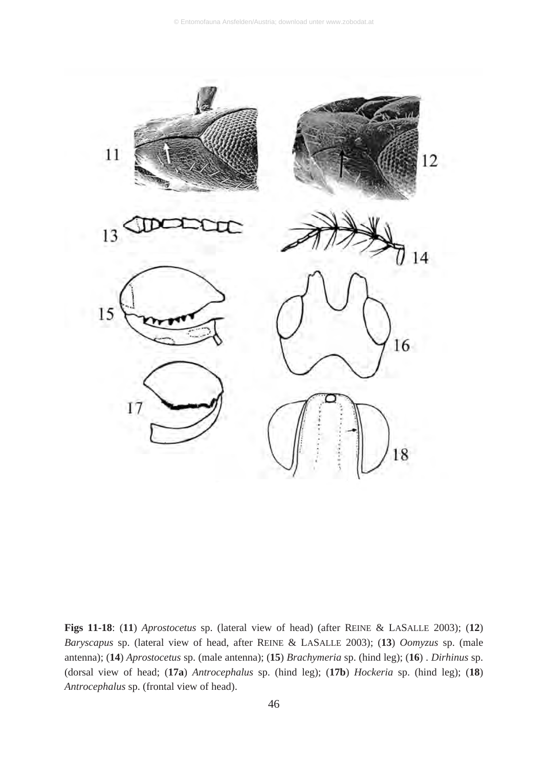

**Figs 11-18**: (**11**) *Aprostocetus* sp. (lateral view of head) (after REINE & LASALLE 2003); (**12**) *Baryscapus* sp. (lateral view of head, after REINE & LASALLE 2003); (**13**) *Oomyzus* sp. (male antenna); (**14**) *Aprostocetus* sp. (male antenna); (**15**) *Brachymeria* sp. (hind leg); (**16**) . *Dirhinus* sp. (dorsal view of head; (**17a**) *Antrocephalus* sp. (hind leg); (**17b**) *Hockeria* sp. (hind leg); (**18**) *Antrocephalus* sp. (frontal view of head).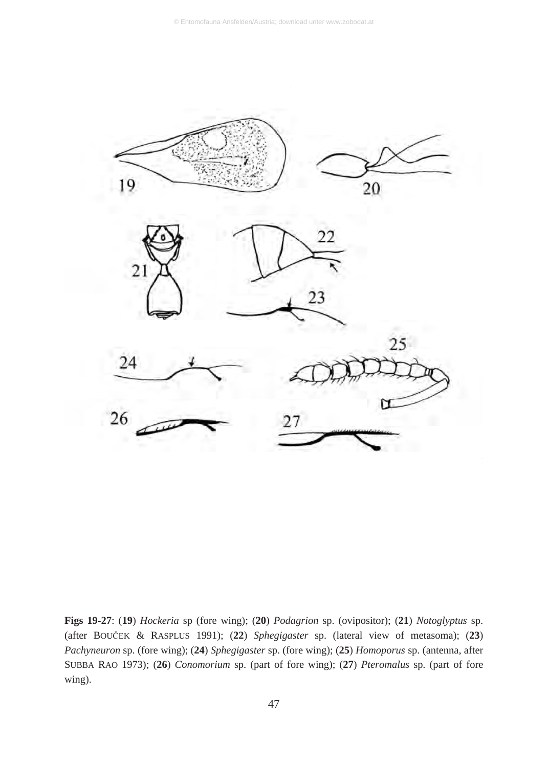

**Figs 19-27**: (**19**) *Hockeria* sp (fore wing); (**20**) *Podagrion* sp. (ovipositor); (**21**) *Notoglyptus* sp. (after BOUýEK & RASPLUS 1991); (**22**) *Sphegigaster* sp. (lateral view of metasoma); (**23**) *Pachyneuron* sp. (fore wing); (**24**) *Sphegigaster* sp. (fore wing); (**25**) *Homoporus* sp. (antenna, after SUBBA RAO 1973); (**26**) *Conomorium* sp. (part of fore wing); (**27**) *Pteromalus* sp. (part of fore wing).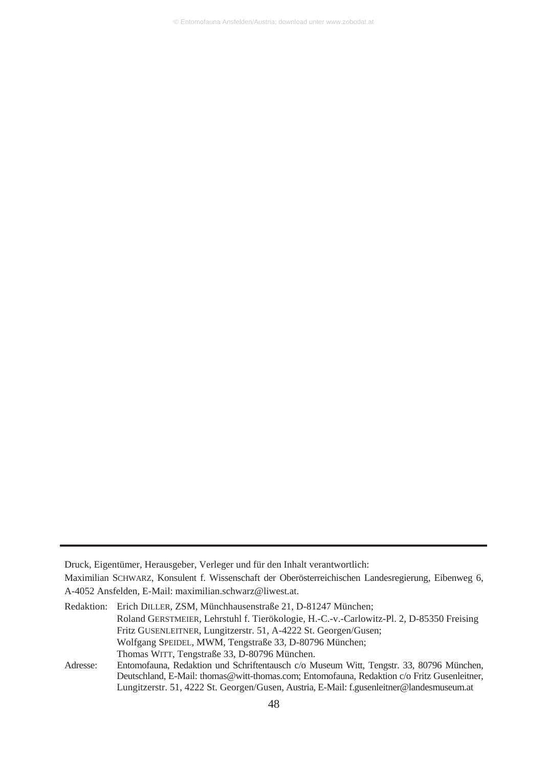Druck, Eigentümer, Herausgeber, Verleger und für den Inhalt verantwortlich:

Maximilian SCHWARZ, Konsulent f. Wissenschaft der Oberösterreichischen Landesregierung, Eibenweg 6, A-4052 Ansfelden, E-Mail: maximilian.schwarz@liwest.at.

Redaktion: Erich DILLER, ZSM, Münchhausenstraße 21, D-81247 München; Roland GERSTMEIER, Lehrstuhl f. Tierökologie, H.-C.-v.-Carlowitz-Pl. 2, D-85350 Freising Fritz GUSENLEITNER, Lungitzerstr. 51, A-4222 St. Georgen/Gusen; Wolfgang SPEIDEL, MWM, Tengstraße 33, D-80796 München; Thomas WITT, Tengstraße 33, D-80796 München. Adresse: Entomofauna, Redaktion und Schriftentausch c/o Museum Witt, Tengstr. 33, 80796 München,

Deutschland, E-Mail: thomas@witt-thomas.com; Entomofauna, Redaktion c/o Fritz Gusenleitner, Lungitzerstr. 51, 4222 St. Georgen/Gusen, Austria, E-Mail: f.gusenleitner@landesmuseum.at